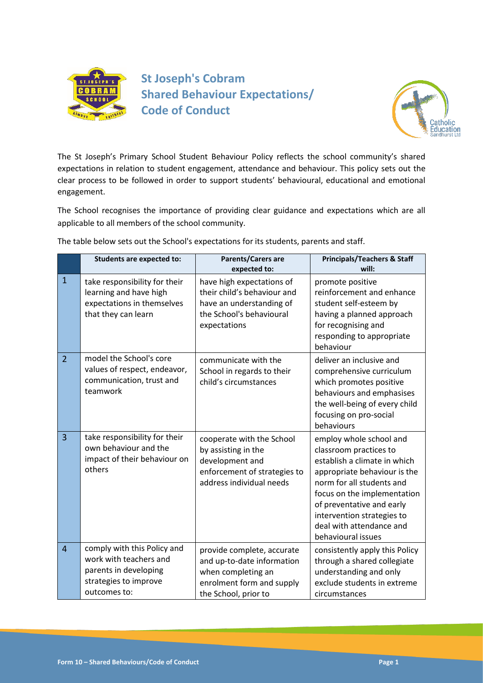

**St Joseph's Cobram Shared Behaviour Expectations/ Code of Conduct**



The St Joseph's Primary School Student Behaviour Policy reflects the school community's shared expectations in relation to student engagement, attendance and behaviour. This policy sets out the clear process to be followed in order to support students' behavioural, educational and emotional engagement.

The School recognises the importance of providing clear guidance and expectations which are all applicable to all members of the school community.

The table below sets out the School's expectations for its students, parents and staff.

|                | <b>Students are expected to:</b>                                                                                        | Parents/Carers are<br>expected to:                                                                                                  | <b>Principals/Teachers &amp; Staff</b><br>will:                                                                                                                                                                                                                                            |
|----------------|-------------------------------------------------------------------------------------------------------------------------|-------------------------------------------------------------------------------------------------------------------------------------|--------------------------------------------------------------------------------------------------------------------------------------------------------------------------------------------------------------------------------------------------------------------------------------------|
| $\mathbf{1}$   | take responsibility for their<br>learning and have high<br>expectations in themselves<br>that they can learn            | have high expectations of<br>their child's behaviour and<br>have an understanding of<br>the School's behavioural<br>expectations    | promote positive<br>reinforcement and enhance<br>student self-esteem by<br>having a planned approach<br>for recognising and<br>responding to appropriate<br>behaviour                                                                                                                      |
| $\overline{2}$ | model the School's core<br>values of respect, endeavor,<br>communication, trust and<br>teamwork                         | communicate with the<br>School in regards to their<br>child's circumstances                                                         | deliver an inclusive and<br>comprehensive curriculum<br>which promotes positive<br>behaviours and emphasises<br>the well-being of every child<br>focusing on pro-social<br>behaviours                                                                                                      |
| 3              | take responsibility for their<br>own behaviour and the<br>impact of their behaviour on<br>others                        | cooperate with the School<br>by assisting in the<br>development and<br>enforcement of strategies to<br>address individual needs     | employ whole school and<br>classroom practices to<br>establish a climate in which<br>appropriate behaviour is the<br>norm for all students and<br>focus on the implementation<br>of preventative and early<br>intervention strategies to<br>deal with attendance and<br>behavioural issues |
| $\overline{4}$ | comply with this Policy and<br>work with teachers and<br>parents in developing<br>strategies to improve<br>outcomes to: | provide complete, accurate<br>and up-to-date information<br>when completing an<br>enrolment form and supply<br>the School, prior to | consistently apply this Policy<br>through a shared collegiate<br>understanding and only<br>exclude students in extreme<br>circumstances                                                                                                                                                    |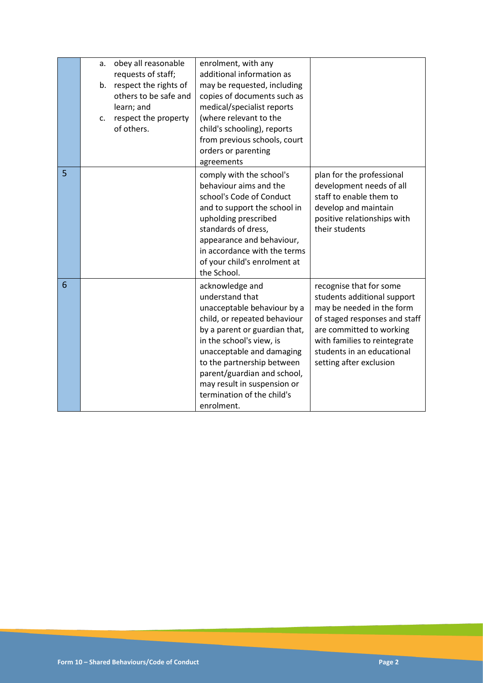|   | a.<br>c. | obey all reasonable<br>requests of staff;<br>b. respect the rights of<br>others to be safe and<br>learn; and<br>respect the property<br>of others. | enrolment, with any<br>additional information as<br>may be requested, including<br>copies of documents such as<br>medical/specialist reports<br>(where relevant to the<br>child's schooling), reports<br>from previous schools, court<br>orders or parenting<br>agreements                                                          |                                                                                                                                                                                                                                           |
|---|----------|----------------------------------------------------------------------------------------------------------------------------------------------------|-------------------------------------------------------------------------------------------------------------------------------------------------------------------------------------------------------------------------------------------------------------------------------------------------------------------------------------|-------------------------------------------------------------------------------------------------------------------------------------------------------------------------------------------------------------------------------------------|
| 5 |          |                                                                                                                                                    | comply with the school's<br>behaviour aims and the<br>school's Code of Conduct<br>and to support the school in<br>upholding prescribed<br>standards of dress,<br>appearance and behaviour,<br>in accordance with the terms<br>of your child's enrolment at<br>the School.                                                           | plan for the professional<br>development needs of all<br>staff to enable them to<br>develop and maintain<br>positive relationships with<br>their students                                                                                 |
| 6 |          |                                                                                                                                                    | acknowledge and<br>understand that<br>unacceptable behaviour by a<br>child, or repeated behaviour<br>by a parent or guardian that,<br>in the school's view, is<br>unacceptable and damaging<br>to the partnership between<br>parent/guardian and school,<br>may result in suspension or<br>termination of the child's<br>enrolment. | recognise that for some<br>students additional support<br>may be needed in the form<br>of staged responses and staff<br>are committed to working<br>with families to reintegrate<br>students in an educational<br>setting after exclusion |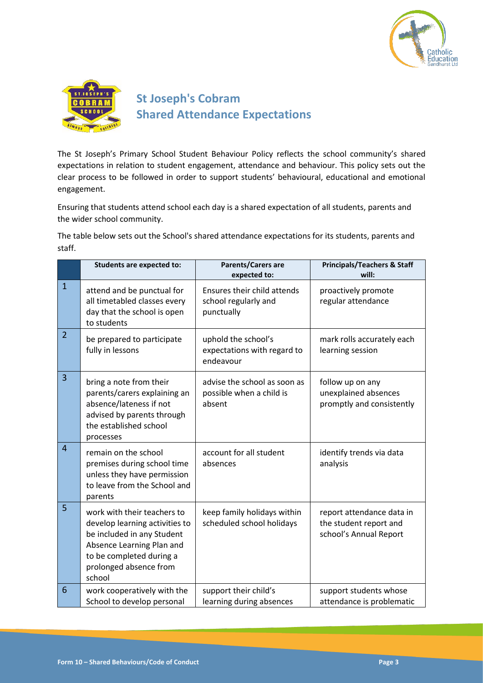



The St Joseph's Primary School Student Behaviour Policy reflects the school community's shared expectations in relation to student engagement, attendance and behaviour. This policy sets out the clear process to be followed in order to support students' behavioural, educational and emotional engagement.

Ensuring that students attend school each day is a shared expectation of all students, parents and the wider school community.

The table below sets out the School's shared attendance expectations for its students, parents and staff.

|                | <b>Students are expected to:</b>                                                                                                                                                         | Parents/Carers are<br>expected to:                                 | <b>Principals/Teachers &amp; Staff</b><br>will:                               |
|----------------|------------------------------------------------------------------------------------------------------------------------------------------------------------------------------------------|--------------------------------------------------------------------|-------------------------------------------------------------------------------|
| $\mathbf{1}$   | attend and be punctual for<br>all timetabled classes every<br>day that the school is open<br>to students                                                                                 | Ensures their child attends<br>school regularly and<br>punctually  | proactively promote<br>regular attendance                                     |
| $\overline{2}$ | be prepared to participate<br>fully in lessons                                                                                                                                           | uphold the school's<br>expectations with regard to<br>endeavour    | mark rolls accurately each<br>learning session                                |
| $\overline{3}$ | bring a note from their<br>parents/carers explaining an<br>absence/lateness if not<br>advised by parents through<br>the established school<br>processes                                  | advise the school as soon as<br>possible when a child is<br>absent | follow up on any<br>unexplained absences<br>promptly and consistently         |
| $\overline{4}$ | remain on the school<br>premises during school time<br>unless they have permission<br>to leave from the School and<br>parents                                                            | account for all student<br>absences                                | identify trends via data<br>analysis                                          |
| 5              | work with their teachers to<br>develop learning activities to<br>be included in any Student<br>Absence Learning Plan and<br>to be completed during a<br>prolonged absence from<br>school | keep family holidays within<br>scheduled school holidays           | report attendance data in<br>the student report and<br>school's Annual Report |
| 6              | work cooperatively with the<br>School to develop personal                                                                                                                                | support their child's<br>learning during absences                  | support students whose<br>attendance is problematic                           |